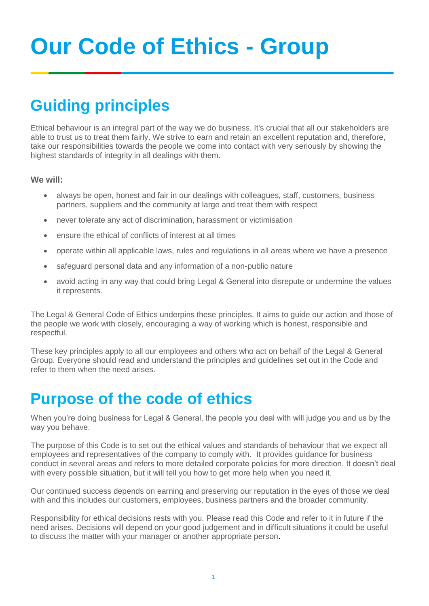# **Our Code of Ethics - Group**

# **Guiding principles**

Ethical behaviour is an integral part of the way we do business. It's crucial that all our stakeholders are able to trust us to treat them fairly. We strive to earn and retain an excellent reputation and, therefore, take our responsibilities towards the people we come into contact with very seriously by showing the highest standards of integrity in all dealings with them.

#### **We will:**

- always be open, honest and fair in our dealings with colleagues, staff, customers, business partners, suppliers and the community at large and treat them with respect
- never tolerate any act of discrimination, harassment or victimisation
- ensure the ethical of conflicts of interest at all times
- operate within all applicable laws, rules and regulations in all areas where we have a presence
- safeguard personal data and any information of a non-public nature
- avoid acting in any way that could bring Legal & General into disrepute or undermine the values it represents.

The Legal & General Code of Ethics underpins these principles. It aims to guide our action and those of the people we work with closely, encouraging a way of working which is honest, responsible and respectful.

These key principles apply to all our employees and others who act on behalf of the Legal & General Group. Everyone should read and understand the principles and guidelines set out in the Code and refer to them when the need arises.

### **Purpose of the code of ethics**

When you're doing business for Legal & General, the people you deal with will judge you and us by the way you behave.

The purpose of this Code is to set out the ethical values and standards of behaviour that we expect all employees and representatives of the company to comply with. It provides guidance for business conduct in several areas and refers to more detailed corporate policies for more direction. It doesn't deal with every possible situation, but it will tell you how to get more help when you need it.

Our continued success depends on earning and preserving our reputation in the eyes of those we deal with and this includes our customers, employees, business partners and the broader community.

Responsibility for ethical decisions rests with you. Please read this Code and refer to it in future if the need arises. Decisions will depend on your good judgement and in difficult situations it could be useful to discuss the matter with your manager or another appropriate person.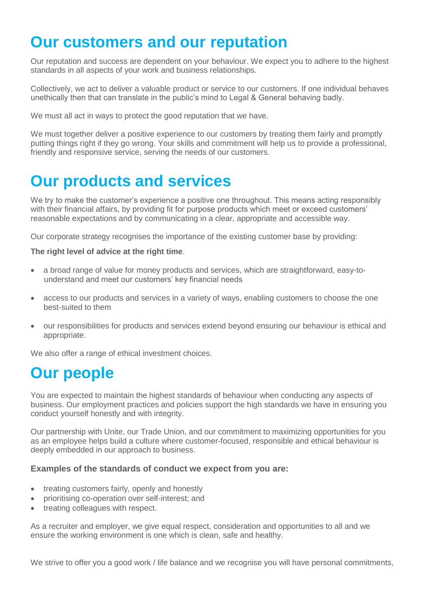### **Our customers and our reputation**

Our reputation and success are dependent on your behaviour. We expect you to adhere to the highest standards in all aspects of your work and business relationships.

Collectively, we act to deliver a valuable product or service to our customers. If one individual behaves unethically then that can translate in the public's mind to Legal & General behaving badly.

We must all act in ways to protect the good reputation that we have.

We must together deliver a positive experience to our customers by treating them fairly and promptly putting things right if they go wrong. Your skills and commitment will help us to provide a professional, friendly and responsive service, serving the needs of our customers.

# **Our products and services**

We try to make the customer's experience a positive one throughout. This means acting responsibly with their financial affairs, by providing fit for purpose products which meet or exceed customers' reasonable expectations and by communicating in a clear, appropriate and accessible way.

Our corporate strategy recognises the importance of the existing customer base by providing:

#### **The right level of advice at the right time**.

- a broad range of value for money products and services, which are straightforward, easy-to understand and meet our customers' key financial needs
- access to our products and services in a variety of ways, enabling customers to choose the one best-suited to them
- our responsibilities for products and services extend beyond ensuring our behaviour is ethical and appropriate.

We also offer a range of ethical investment choices.

# **Our people**

You are expected to maintain the highest standards of behaviour when conducting any aspects of business. Our employment practices and policies support the high standards we have in ensuring you conduct yourself honestly and with integrity.

Our partnership with Unite, our Trade Union, and our commitment to maximizing opportunities for you as an employee helps build a culture where customer-focused, responsible and ethical behaviour is deeply embedded in our approach to business.

#### **Examples of the standards of conduct we expect from you are:**

- treating customers fairly, openly and honestly
- prioritising co-operation over self-interest; and
- treating colleagues with respect.

As a recruiter and employer, we give equal respect, consideration and opportunities to all and we ensure the working environment is one which is clean, safe and healthy.

We strive to offer you a good work / life balance and we recognise you will have personal commitments,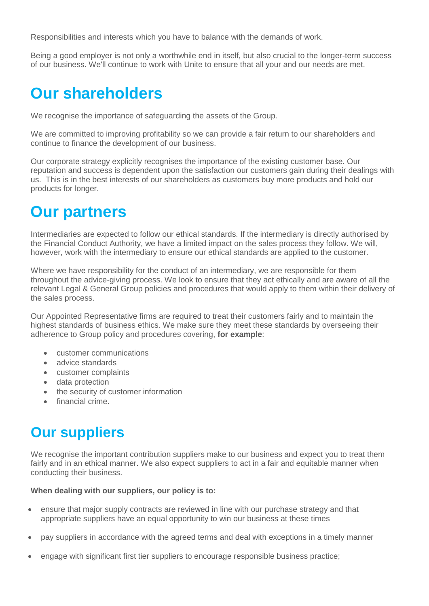Responsibilities and interests which you have to balance with the demands of work.

Being a good employer is not only a worthwhile end in itself, but also crucial to the longer-term success of our business. We'll continue to work with Unite to ensure that all your and our needs are met.

### **Our shareholders**

We recognise the importance of safeguarding the assets of the Group.

We are committed to improving profitability so we can provide a fair return to our shareholders and continue to finance the development of our business.

Our corporate strategy explicitly recognises the importance of the existing customer base. Our reputation and success is dependent upon the satisfaction our customers gain during their dealings with us. This is in the best interests of our shareholders as customers buy more products and hold our products for longer.

### **Our partners**

Intermediaries are expected to follow our ethical standards. If the intermediary is directly authorised by the Financial Conduct Authority, we have a limited impact on the sales process they follow. We will, however, work with the intermediary to ensure our ethical standards are applied to the customer.

Where we have responsibility for the conduct of an intermediary, we are responsible for them throughout the advice-giving process. We look to ensure that they act ethically and are aware of all the relevant Legal & General Group policies and procedures that would apply to them within their delivery of the sales process.

Our Appointed Representative firms are required to treat their customers fairly and to maintain the highest standards of business ethics. We make sure they meet these standards by overseeing their adherence to Group policy and procedures covering, **for example**:

- customer communications
- advice standards
- customer complaints
- data protection
- the security of customer information
- financial crime.

### **Our suppliers**

We recognise the important contribution suppliers make to our business and expect you to treat them fairly and in an ethical manner. We also expect suppliers to act in a fair and equitable manner when conducting their business.

#### **When dealing with our suppliers, our policy is to:**

- ensure that major supply contracts are reviewed in line with our purchase strategy and that appropriate suppliers have an equal opportunity to win our business at these times
- pay suppliers in accordance with the agreed terms and deal with exceptions in a timely manner
- engage with significant first tier suppliers to encourage responsible business practice;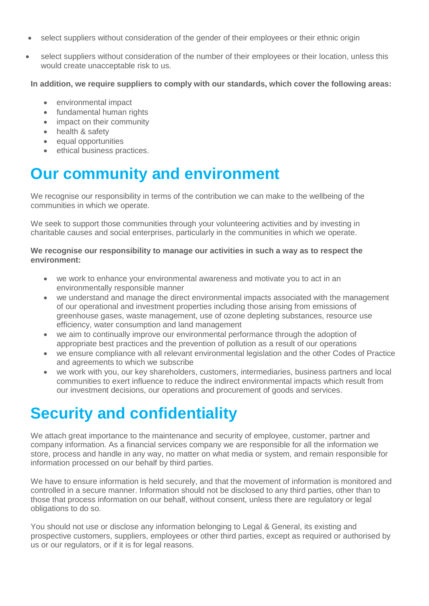- select suppliers without consideration of the gender of their employees or their ethnic origin
- select suppliers without consideration of the number of their employees or their location, unless this would create unacceptable risk to us.

**In addition, we require suppliers to comply with our standards, which cover the following areas:**

- environmental impact
- fundamental human rights
- impact on their community
- health & safety
- equal opportunities
- **ethical business practices.**

# **Our community and environment**

We recognise our responsibility in terms of the contribution we can make to the wellbeing of the communities in which we operate.

We seek to support those communities through your volunteering activities and by investing in charitable causes and social enterprises, particularly in the communities in which we operate.

#### **We recognise our responsibility to manage our activities in such a way as to respect the environment:**

- we work to enhance your environmental awareness and motivate you to act in an environmentally responsible manner
- we understand and manage the direct environmental impacts associated with the management of our operational and investment properties including those arising from emissions of greenhouse gases, waste management, use of ozone depleting substances, resource use efficiency, water consumption and land management
- we aim to continually improve our environmental performance through the adoption of appropriate best practices and the prevention of pollution as a result of our operations
- we ensure compliance with all relevant environmental legislation and the other Codes of Practice and agreements to which we subscribe
- we work with you, our key shareholders, customers, intermediaries, business partners and local communities to exert influence to reduce the indirect environmental impacts which result from our investment decisions, our operations and procurement of goods and services.

# **Security and confidentiality**

We attach great importance to the maintenance and security of employee, customer, partner and company information. As a financial services company we are responsible for all the information we store, process and handle in any way, no matter on what media or system, and remain responsible for information processed on our behalf by third parties.

We have to ensure information is held securely, and that the movement of information is monitored and controlled in a secure manner. Information should not be disclosed to any third parties, other than to those that process information on our behalf, without consent, unless there are regulatory or legal obligations to do so.

You should not use or disclose any information belonging to Legal & General, its existing and prospective customers, suppliers, employees or other third parties, except as required or authorised by us or our regulators, or if it is for legal reasons.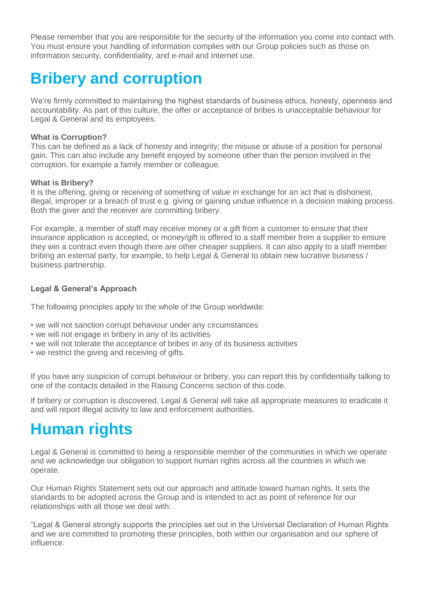Please remember that you are responsible for the security of the information you come into contact with. You must ensure your handling of information complies with our Group policies such as those on information security, confidentiality, and e-mail and Internet use.

# **Bribery and corruption**

We're firmly committed to maintaining the highest standards of business ethics, honesty, openness and accountability. As part of this culture, the offer or acceptance of bribes is unacceptable behaviour for Legal & General and its employees.

#### **What is Corruption?**

This can be defined as a lack of honesty and integrity; the misuse or abuse of a position for personal gain. This can also include any benefit enjoyed by someone other than the person involved in the corruption, for example a family member or colleague.

#### **What is Bribery?**

It is the offering, giving or receiving of something of value in exchange for an act that is dishonest, illegal, improper or a breach of trust e.g. giving or gaining undue influence in a decision making process. Both the giver and the receiver are committing bribery.

For example, a member of staff may receive money or a gift from a customer to ensure that their insurance application is accepted, or money/gift is offered to a staff member from a supplier to ensure they win a contract even though there are other cheaper suppliers. It can also apply to a staff member bribing an external party, for example, to help Legal & General to obtain new lucrative business / business partnership.

#### **Legal & General's Approach**

The following principles apply to the whole of the Group worldwide:

- we will not sanction corrupt behaviour under any circumstances
- we will not engage in bribery in any of its activities
- we will not tolerate the acceptance of bribes in any of its business activities
- we restrict the giving and receiving of gifts.

If you have any suspicion of corrupt behaviour or bribery, you can report this by confidentially talking to one of the contacts detailed in the Raising Concerns section of this code.

If bribery or corruption is discovered, Legal & General will take all appropriate measures to eradicate it and will report illegal activity to law and enforcement authorities.

# **Human rights**

Legal & General is committed to being a responsible member of the communities in which we operate and we acknowledge our obligation to support human rights across all the countries in which we operate.

Our Human Rights Statement sets out our approach and attitude toward human rights. It sets the standards to be adopted across the Group and is intended to act as point of reference for our relationships with all those we deal with:

"Legal & General strongly supports the principles set out in the Universal Declaration of Human Rights and we are committed to promoting these principles, both within our organisation and our sphere of influence.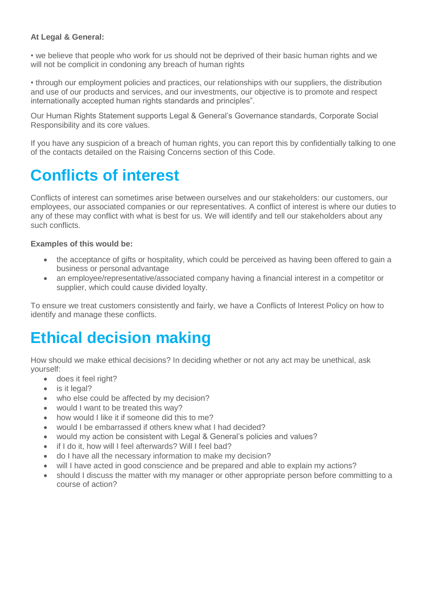#### **At Legal & General:**

• we believe that people who work for us should not be deprived of their basic human rights and we will not be complicit in condoning any breach of human rights

• through our employment policies and practices, our relationships with our suppliers, the distribution and use of our products and services, and our investments, our objective is to promote and respect internationally accepted human rights standards and principles".

Our Human Rights Statement supports Legal & General's Governance standards, Corporate Social Responsibility and its core values.

If you have any suspicion of a breach of human rights, you can report this by confidentially talking to one of the contacts detailed on the Raising Concerns section of this Code.

# **Conflicts of interest**

Conflicts of interest can sometimes arise between ourselves and our stakeholders: our customers, our employees, our associated companies or our representatives. A conflict of interest is where our duties to any of these may conflict with what is best for us. We will identify and tell our stakeholders about any such conflicts.

#### **Examples of this would be:**

- the acceptance of gifts or hospitality, which could be perceived as having been offered to gain a business or personal advantage
- an employee/representative/associated company having a financial interest in a competitor or supplier, which could cause divided loyalty.

To ensure we treat customers consistently and fairly, we have a Conflicts of Interest Policy on how to identify and manage these conflicts.

# **Ethical decision making**

How should we make ethical decisions? In deciding whether or not any act may be unethical, ask yourself:

- does it feel right?
- is it legal?
- who else could be affected by my decision?
- would I want to be treated this way?
- how would I like it if someone did this to me?
- would I be embarrassed if others knew what I had decided?
- would my action be consistent with Legal & General's policies and values?
- if I do it, how will I feel afterwards? Will I feel bad?
- do I have all the necessary information to make my decision?
- will I have acted in good conscience and be prepared and able to explain my actions?
- should I discuss the matter with my manager or other appropriate person before committing to a course of action?